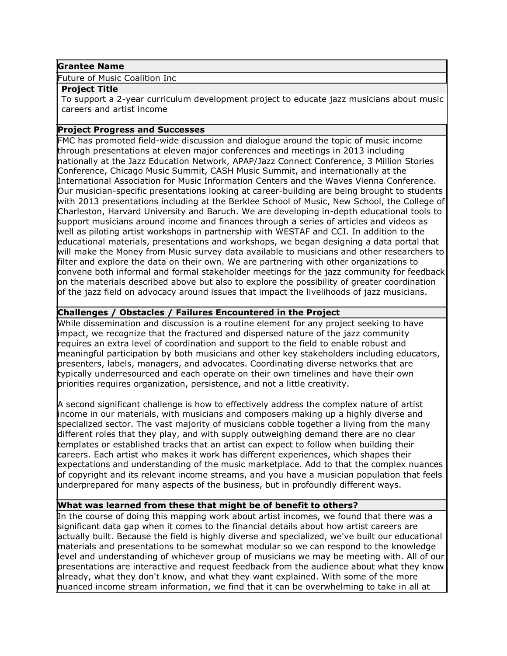#### **Grantee Name**

Future of Music Coalition Inc

#### **Project Title**

To support a 2-year curriculum development project to educate jazz musicians about music careers and artist income

#### **Project Progress and Successes**

FMC has promoted field-wide discussion and dialogue around the topic of music income through presentations at eleven major conferences and meetings in 2013 including nationally at the Jazz Education Network, APAP/Jazz Connect Conference, 3 Million Stories Conference, Chicago Music Summit, CASH Music Summit, and internationally at the International Association for Music Information Centers and the Waves Vienna Conference. Our musician-specific presentations looking at career-building are being brought to students with 2013 presentations including at the Berklee School of Music, New School, the College of Charleston, Harvard University and Baruch. We are developing in-depth educational tools to support musicians around income and finances through a series of articles and videos as well as piloting artist workshops in partnership with WESTAF and CCI. In addition to the educational materials, presentations and workshops, we began designing a data portal that will make the Money from Music survey data available to musicians and other researchers to filter and explore the data on their own. We are partnering with other organizations to convene both informal and formal stakeholder meetings for the jazz community for feedback on the materials described above but also to explore the possibility of greater coordination of the jazz field on advocacy around issues that impact the livelihoods of jazz musicians.

# **Challenges / Obstacles / Failures Encountered in the Project**

While dissemination and discussion is a routine element for any project seeking to have impact, we recognize that the fractured and dispersed nature of the jazz community requires an extra level of coordination and support to the field to enable robust and meaningful participation by both musicians and other key stakeholders including educators, presenters, labels, managers, and advocates. Coordinating diverse networks that are typically underresourced and each operate on their own timelines and have their own priorities requires organization, persistence, and not a little creativity.

A second significant challenge is how to effectively address the complex nature of artist income in our materials, with musicians and composers making up a highly diverse and specialized sector. The vast majority of musicians cobble together a living from the many different roles that they play, and with supply outweighing demand there are no clear templates or established tracks that an artist can expect to follow when building their careers. Each artist who makes it work has different experiences, which shapes their expectations and understanding of the music marketplace. Add to that the complex nuances of copyright and its relevant income streams, and you have a musician population that feels underprepared for many aspects of the business, but in profoundly different ways.

# **What was learned from these that might be of benefit to others?**

In the course of doing this mapping work about artist incomes, we found that there was a significant data gap when it comes to the financial details about how artist careers are actually built. Because the field is highly diverse and specialized, we've built our educational materials and presentations to be somewhat modular so we can respond to the knowledge level and understanding of whichever group of musicians we may be meeting with. All of our presentations are interactive and request feedback from the audience about what they know already, what they don't know, and what they want explained. With some of the more nuanced income stream information, we find that it can be overwhelming to take in all at